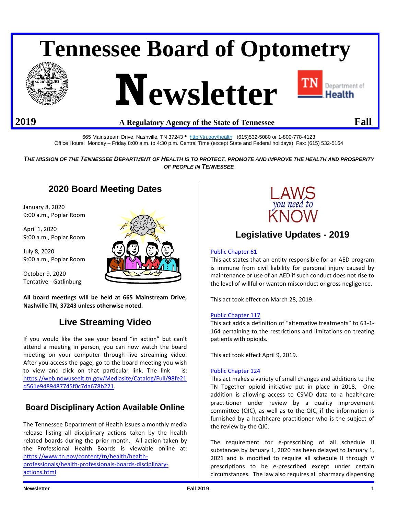# **Tennessee Board of Optometry**







### **2019 A Regulatory Agency of the State of Tennessee Fall**

665 Mainstream Drive, Nashville, TN 37243 • <http://tn.gov/health>(615)532-5080 or 1-800-778-4123 Office Hours: Monday – Friday 8:00 a.m. to 4:30 p.m. Central Time (except State and Federal holidays) Fax: (615) 532-5164

*THE MISSION OF THE TENNESSEE DEPARTMENT OF HEALTH IS TO PROTECT, PROMOTE AND IMPROVE THE HEALTH AND PROSPERITY OF PEOPLE IN TENNESSEE*

## **2020 Board Meeting Dates**

January 8, 2020 9:00 a.m., Poplar Room

April 1, 2020 9:00 a.m., Poplar Room

July 8, 2020 9:00 a.m., Poplar Room

October 9, 2020 Tentative - Gatlinburg



**All board meetings will be held at 665 Mainstream Drive, Nashville TN, 37243 unless otherwise noted.**

## **Live Streaming Video**

If you would like the see your board "in action" but can't attend a meeting in person, you can now watch the board meeting on your computer through live streaming video. After you access the page, go to the board meeting you wish to view and click on that particular link. The link is: [https://web.nowuseeit.tn.gov/Mediasite/Catalog/Full/98fe21](https://web.nowuseeit.tn.gov/Mediasite/Catalog/Full/98fe21d561e9489487745f0c7da678b221) [d561e9489487745f0c7da678b221.](https://web.nowuseeit.tn.gov/Mediasite/Catalog/Full/98fe21d561e9489487745f0c7da678b221)

## **Board Disciplinary Action Available Online**

The Tennessee Department of Health issues a monthly media release listing all disciplinary actions taken by the health related boards during the prior month. All action taken by the Professional Health Boards is viewable online at: [https://www.tn.gov/content/tn/health/health](https://www.tn.gov/content/tn/health/health-professionals/health-professionals-boards-disciplinary-actions.html)[professionals/health-professionals-boards-disciplinary-](https://www.tn.gov/content/tn/health/health-professionals/health-professionals-boards-disciplinary-actions.html)

[actions.html](https://www.tn.gov/content/tn/health/health-professionals/health-professionals-boards-disciplinary-actions.html)



## **Legislative Updates - 2019**

#### [Public Chapter 61](https://publications.tnsosfiles.com/acts/111/pub/pc0061.pdf)

This act states that an entity responsible for an AED program is immune from civil liability for personal injury caused by maintenance or use of an AED if such conduct does not rise to the level of willful or wanton misconduct or gross negligence.

This act took effect on March 28, 2019.

#### [Public Chapter 117](https://publications.tnsosfiles.com/acts/111/pub/pc0117.pdf)

This act adds a definition of "alternative treatments" to 63-1- 164 pertaining to the restrictions and limitations on treating patients with opioids.

This act took effect April 9, 2019.

#### [Public Chapter 124](https://publications.tnsosfiles.com/acts/111/pub/pc0124.pdf)

This act makes a variety of small changes and additions to the TN Together opioid initiative put in place in 2018. One addition is allowing access to CSMD data to a healthcare practitioner under review by a quality improvement committee (QIC), as well as to the QIC, if the information is furnished by a healthcare practitioner who is the subject of the review by the QIC.

The requirement for e-prescribing of all schedule II substances by January 1, 2020 has been delayed to January 1, 2021 and is modified to require all schedule II through V prescriptions to be e-prescribed except under certain circumstances. The law also requires all pharmacy dispensing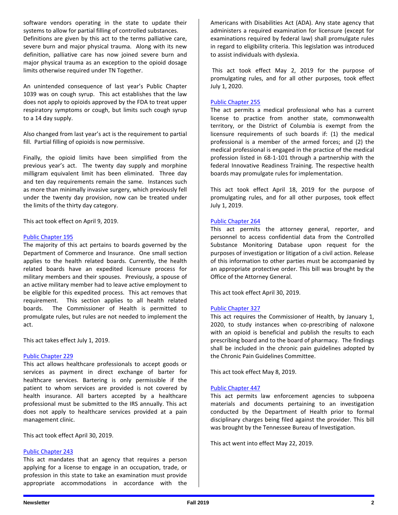software vendors operating in the state to update their systems to allow for partial filling of controlled substances. Definitions are given by this act to the terms palliative care, severe burn and major physical trauma. Along with its new definition, palliative care has now joined severe burn and major physical trauma as an exception to the opioid dosage limits otherwise required under TN Together.

An unintended consequence of last year's Public Chapter 1039 was on cough syrup. This act establishes that the law does not apply to opioids approved by the FDA to treat upper respiratory symptoms or cough, but limits such cough syrup to a 14 day supply.

Also changed from last year's act is the requirement to partial fill. Partial filling of opioids is now permissive.

Finally, the opioid limits have been simplified from the previous year's act. The twenty day supply and morphine milligram equivalent limit has been eliminated. Three day and ten day requirements remain the same. Instances such as more than minimally invasive surgery, which previously fell under the twenty day provision, now can be treated under the limits of the thirty day category.

This act took effect on April 9, 2019.

#### [Public Chapter 195](https://publications.tnsosfiles.com/acts/111/pub/pc0195.pdf)

The majority of this act pertains to boards governed by the Department of Commerce and Insurance. One small section applies to the health related boards. Currently, the health related boards have an expedited licensure process for military members and their spouses. Previously, a spouse of an active military member had to leave active employment to be eligible for this expedited process. This act removes that requirement. This section applies to all health related boards. The Commissioner of Health is permitted to promulgate rules, but rules are not needed to implement the act.

This act takes effect July 1, 2019.

#### [Public Chapter 229](https://publications.tnsosfiles.com/acts/111/pub/pc0229.pdf)

This act allows healthcare professionals to accept goods or services as payment in direct exchange of barter for healthcare services. Bartering is only permissible if the patient to whom services are provided is not covered by health insurance. All barters accepted by a healthcare professional must be submitted to the IRS annually. This act does not apply to healthcare services provided at a pain management clinic.

This act took effect April 30, 2019.

#### [Public Chapter 243](https://publications.tnsosfiles.com/acts/111/pub/pc0243.pdf)

This act mandates that an agency that requires a person applying for a license to engage in an occupation, trade, or profession in this state to take an examination must provide appropriate accommodations in accordance with the Americans with Disabilities Act (ADA). Any state agency that administers a required examination for licensure (except for examinations required by federal law) shall promulgate rules in regard to eligibility criteria. This legislation was introduced to assist individuals with dyslexia.

This act took effect May 2, 2019 for the purpose of promulgating rules, and for all other purposes, took effect July 1, 2020.

#### [Public Chapter 255](https://publications.tnsosfiles.com/acts/111/pub/pc0255.pdf)

The act permits a medical professional who has a current license to practice from another state, commonwealth territory, or the District of Columbia is exempt from the licensure requirements of such boards if: (1) the medical professional is a member of the armed forces; and (2) the medical professional is engaged in the practice of the medical profession listed in 68-1-101 through a partnership with the federal Innovative Readiness Training. The respective health boards may promulgate rules for implementation.

This act took effect April 18, 2019 for the purpose of promulgating rules, and for all other purposes, took effect July 1, 2019.

#### [Public Chapter 264](https://publications.tnsosfiles.com/acts/111/pub/pc0264.pdf)

This act permits the attorney general, reporter, and personnel to access confidential data from the Controlled Substance Monitoring Database upon request for the purposes of investigation or litigation of a civil action. Release of this information to other parties must be accompanied by an appropriate protective order. This bill was brought by the Office of the Attorney General.

This act took effect April 30, 2019.

#### [Public Chapter 327](https://publications.tnsosfiles.com/acts/111/pub/pc0327.pdf)

This act requires the Commissioner of Health, by January 1, 2020, to study instances when co-prescribing of naloxone with an opioid is beneficial and publish the results to each prescribing board and to the board of pharmacy. The findings shall be included in the chronic pain guidelines adopted by the Chronic Pain Guidelines Committee.

This act took effect May 8, 2019.

#### [Public Chapter 447](https://publications.tnsosfiles.com/acts/111/pub/pc0447.pdf)

This act permits law enforcement agencies to subpoena materials and documents pertaining to an investigation conducted by the Department of Health prior to formal disciplinary charges being filed against the provider. This bill was brought by the Tennessee Bureau of Investigation.

This act went into effect May 22, 2019.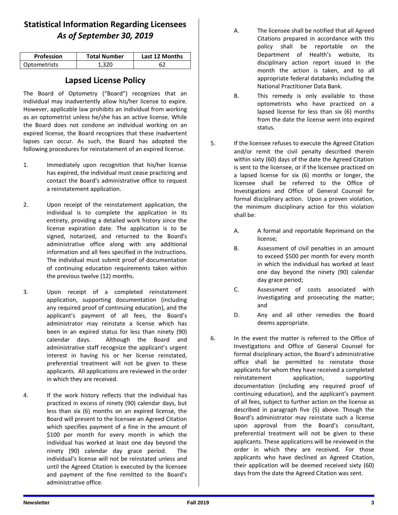## **Statistical Information Regarding Licensees** *As of September 30, 2019*

| <b>Profession</b> | <b>Total Number</b> | Last 12 Months |
|-------------------|---------------------|----------------|
| Optometrists      | 320                 |                |

## **Lapsed License Policy**

The Board of Optometry ("Board") recognizes that an individual may inadvertently allow his/her license to expire. However, applicable law prohibits an individual from working as an optometrist unless he/she has an active license. While the Board does not condone an individual working on an expired license, the Board recognizes that these inadvertent lapses can occur. As such, the Board has adopted the following procedures for reinstatement of an expired license.

- 1. Immediately upon recognition that his/her license has expired, the individual must cease practicing and contact the Board's administrative office to request a reinstatement application.
- 2. Upon receipt of the reinstatement application, the individual is to complete the application in its entirety, providing a detailed work history since the license expiration date. The application is to be signed, notarized, and returned to the Board's administrative office along with any additional information and all fees specified in the instructions. The individual must submit proof of documentation of continuing education requirements taken within the previous twelve (12) months.
- 3. Upon receipt of a completed reinstatement application, supporting documentation (including any required proof of continuing education), and the applicant's payment of all fees, the Board's administrator may reinstate a license which has been in an expired status for less than ninety (90) calendar days. Although the Board and administrative staff recognize the applicant's urgent interest in having his or her license reinstated, preferential treatment will not be given to these applicants. All applications are reviewed in the order in which they are received.
- 4. If the work history reflects that the individual has practiced in excess of ninety (90) calendar days, but less than six (6) months on an expired license, the Board will present to the licensee an Agreed Citation which specifies payment of a fine in the amount of \$100 per month for every month in which the individual has worked at least one day beyond the ninety (90) calendar day grace period. The individual's license will not be reinstated unless and until the Agreed Citation is executed by the licensee and payment of the fine remitted to the Board's administrative office.
- A. The licensee shall be notified that all Agreed Citations prepared in accordance with this policy shall be reportable on the Department of Health's website, its disciplinary action report issued in the month the action is taken, and to all appropriate federal databanks including the National Practitioner Data Bank.
- B. This remedy is only available to those optometrists who have practiced on a lapsed license for less than six (6) months from the date the license went into expired status.
- 5. If the licensee refuses to execute the Agreed Citation and/or remit the civil penalty described therein within sixty (60) days of the date the Agreed Citation is sent to the licensee, or if the licensee practiced on a lapsed license for six (6) months or longer, the licensee shall be referred to the Office of Investigations and Office of General Counsel for formal disciplinary action. Upon a proven violation, the minimum disciplinary action for this violation shall be:
	- A. A formal and reportable Reprimand on the license;
	- B. Assessment of civil penalties in an amount to exceed \$500 per month for every month in which the individual has worked at least one day beyond the ninety (90) calendar day grace period;
	- C. Assessment of costs associated with investigating and prosecuting the matter; and
	- D. Any and all other remedies the Board deems appropriate.
- 6. In the event the matter is referred to the Office of Investigations and Office of General Counsel for formal disciplinary action, the Board's administrative office shall be permitted to reinstate those applicants for whom they have received a completed reinstatement application, supporting documentation (including any required proof of continuing education), and the applicant's payment of all fees, subject to further action on the license as described in paragraph five (5) above. Though the Board's administrator may reinstate such a license upon approval from the Board's consultant, preferential treatment will not be given to these applicants. These applications will be reviewed in the order in which they are received. For those applicants who have declined an Agreed Citation, their application will be deemed received sixty (60) days from the date the Agreed Citation was sent.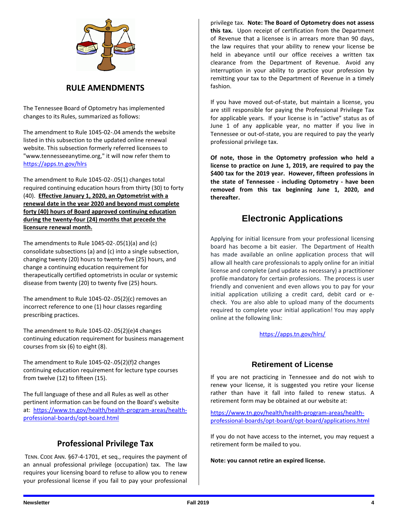

#### **RULE AMENDMENTS**

The Tennessee Board of Optometry has implemented changes to its Rules, summarized as follows:

The amendment to Rule 1045-02-.04 amends the website listed in this subsection to the updated online renewal website. This subsection formerly referred licensees to "www.tennesseeanytime.org," it will now refer them to [https://apps.tn.gov/hlrs](https://apps.tn.gov/hlrs.)

The amendment to Rule 1045-02-.05(1) changes total required continuing education hours from thirty (30) to forty (40). **Effective January 1, 2020, an Optometrist with a renewal date in the year 2020 and beyond must complete forty (40) hours of Board approved continuing education during the twenty-four (24) months that precede the licensure renewal month.**

The amendments to Rule 1045-02-.05(1)(a) and (c) consolidate subsections (a) and (c) into a single subsection, changing twenty (20) hours to twenty-five (25) hours, and change a continuing education requirement for therapeutically certified optometrists in ocular or systemic disease from twenty (20) to twenty five (25) hours.

The amendment to Rule 1045-02-.05(2)(c) removes an incorrect reference to one (1) hour classes regarding prescribing practices.

The amendment to Rule 1045-02-.05(2)(e)4 changes continuing education requirement for business management courses from six (6) to eight (8).

The amendment to Rule 1045-02-.05(2)(f)2 changes continuing education requirement for lecture type courses from twelve (12) to fifteen (15).

The full language of these and all Rules as well as other pertinent information can be found on the Board's website at: [https://www.tn.gov/health/health-program-areas/health](https://www.tn.gov/health/health-program-areas/health-professional-boards/opt-board.html)[professional-boards/opt-board.html](https://www.tn.gov/health/health-program-areas/health-professional-boards/opt-board.html)

## **Professional Privilege Tax**

TENN. CODE ANN. §67-4-1701, et seq., requires the payment of an annual professional privilege (occupation) tax. The law requires your licensing board to refuse to allow you to renew your professional license if you fail to pay your professional

privilege tax. **Note: The Board of Optometry does not assess this tax.** Upon receipt of certification from the Department of Revenue that a licensee is in arrears more than 90 days, the law requires that your ability to renew your license be held in abeyance until our office receives a written tax clearance from the Department of Revenue. Avoid any interruption in your ability to practice your profession by remitting your tax to the Department of Revenue in a timely fashion.

If you have moved out-of-state, but maintain a license, you are still responsible for paying the Professional Privilege Tax for applicable years. If your license is in "active" status as of June 1 of any applicable year, no matter if you live in Tennessee or out-of-state, you are required to pay the yearly professional privilege tax.

**Of note, those in the Optometry profession who held a license to practice on June 1, 2019, are required to pay the \$400 tax for the 2019 year. However, fifteen professions in the state of Tennessee - including Optometry - have been removed from this tax beginning June 1, 2020, and thereafter.** 

## **Electronic Applications**

Applying for initial licensure from your professional licensing board has become a bit easier. The Department of Health has made available an online application process that will allow all health care professionals to apply online for an initial license and complete (and update as necessary) a practitioner profile mandatory for certain professions. The process is user friendly and convenient and even allows you to pay for your initial application utilizing a credit card, debit card or echeck. You are also able to upload many of the documents required to complete your initial application! You may apply online at the following link:

<https://apps.tn.gov/hlrs/>

## **Retirement of License**

If you are not practicing in Tennessee and do not wish to renew your license, it is suggested you retire your license rather than have it fall into failed to renew status. A retirement form may be obtained at our website at:

[https://www.tn.gov/health/health-program-areas/health](https://www.tn.gov/health/health-program-areas/health-professional-boards/opt-board/opt-board/applications.html)[professional-boards/opt-board/opt-board/applications.html](https://www.tn.gov/health/health-program-areas/health-professional-boards/opt-board/opt-board/applications.html)

If you do not have access to the internet, you may request a retirement form be mailed to you.

**Note: you cannot retire an expired license.**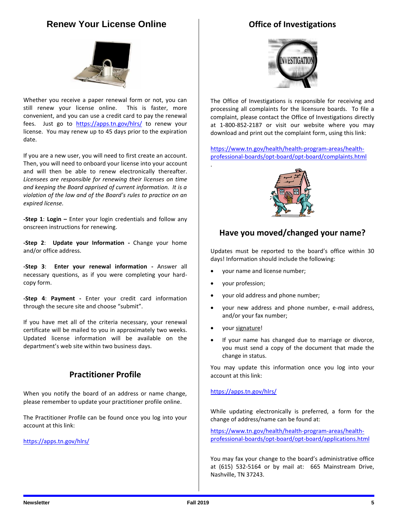## **Renew Your License Online**

Whether you receive a paper renewal form or not, you can still renew your license online. This is faster, more convenient, and you can use a credit card to pay the renewal fees. Just go to <https://apps.tn.gov/hlrs/> to renew your license. You may renew up to 45 days prior to the expiration date.

If you are a new user, you will need to first create an account. Then, you will need to onboard your license into your account and will then be able to renew electronically thereafter. *Licensees are responsible for renewing their licenses on time and keeping the Board apprised of current information. It is a violation of the law and of the Board's rules to practice on an expired license.*

**-Step 1: Login –** Enter your login credentials and follow any onscreen instructions for renewing.

**-Step 2**: **Update your Information -** Change your home and/or office address.

**-Step 3**: **Enter your renewal information -** Answer all necessary questions, as if you were completing your hardcopy form.

**-Step 4**: **Payment -** Enter your credit card information through the secure site and choose "submit".

If you have met all of the criteria necessary, your renewal certificate will be mailed to you in approximately two weeks. Updated license information will be available on the department's web site within two business days.

## **Practitioner Profile**

When you notify the board of an address or name change, please remember to update your practitioner profile online.

The Practitioner Profile can be found once you log into your account at this link:

<https://apps.tn.gov/hlrs/>





The Office of Investigations is responsible for receiving and processing all complaints for the licensure boards. To file a complaint, please contact the Office of Investigations directly at 1-800-852-2187 or visit our website where you may download and print out the complaint form, using this link:

[https://www.tn.gov/health/health-program-areas/health](https://www.tn.gov/health/health-program-areas/health-professional-boards/opt-board/opt-board/complaints.html)[professional-boards/opt-board/opt-board/complaints.html](https://www.tn.gov/health/health-program-areas/health-professional-boards/opt-board/opt-board/complaints.html)



## **Have you moved/changed your name?**

Updates must be reported to the board's office within 30 days! Information should include the following:

- your name and license number;
- your profession;

.

- your old address and phone number;
- your new address and phone number, e-mail address, and/or your fax number;
- your signature!
- If your name has changed due to marriage or divorce, you must send a copy of the document that made the change in status.

You may update this information once you log into your account at this link:

#### <https://apps.tn.gov/hlrs/>

While updating electronically is preferred, a form for the change of address/name can be found at:

[https://www.tn.gov/health/health-program-areas/health](https://www.tn.gov/health/health-program-areas/health-professional-boards/opt-board/opt-board/applications.html)[professional-boards/opt-board/opt-board/applications.html](https://www.tn.gov/health/health-program-areas/health-professional-boards/opt-board/opt-board/applications.html)

You may fax your change to the board's administrative office at (615) 532-5164 or by mail at: 665 Mainstream Drive, Nashville, TN 37243.